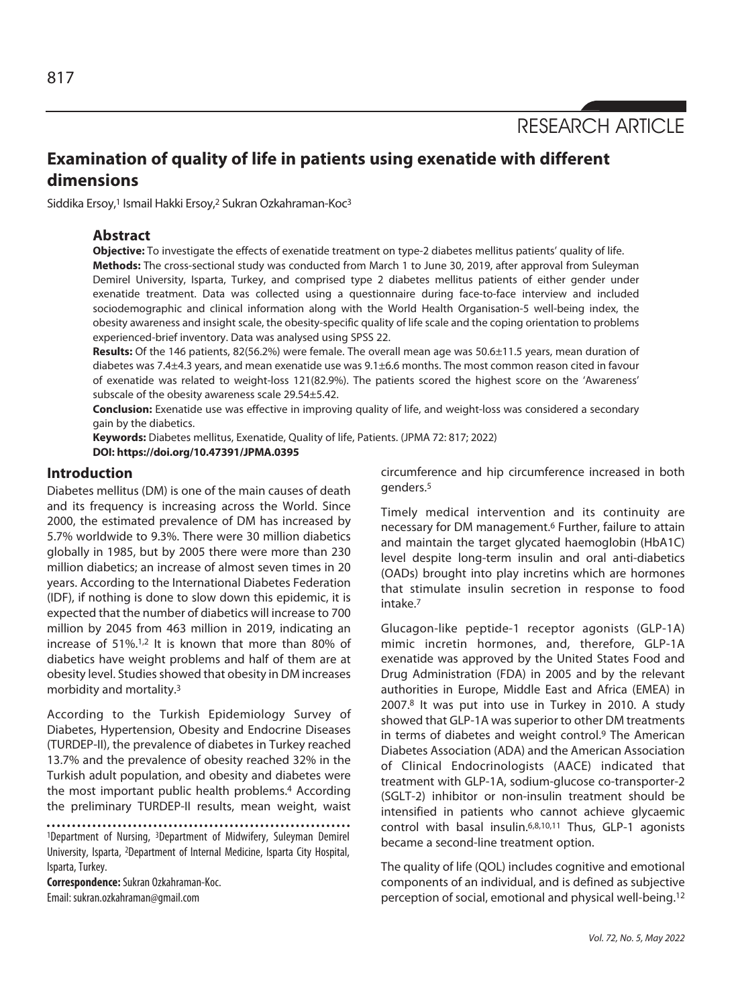RESEARCH ARTICLE

# **Examination of quality of life in patients using exenatide with different dimensions**

Siddika Ersoy,<sup>1</sup> Ismail Hakki Ersoy,<sup>2</sup> Sukran Ozkahraman-Koc<sup>3</sup>

## **Abstract**

**Objective:** To investigate the effects of exenatide treatment on type-2 diabetes mellitus patients' quality of life. **Methods:** The cross-sectional study was conducted from March 1 to June 30, 2019, after approval from Suleyman Demirel University, Isparta, Turkey, and comprised type 2 diabetes mellitus patients of either gender under exenatide treatment. Data was collected using a questionnaire during face-to-face interview and included sociodemographic and clinical information along with the World Health Organisation-5 well-being index, the obesity awareness and insight scale, the obesity-specific quality of life scale and the coping orientation to problems experienced-brief inventory. Data was analysed using SPSS 22.

**Results:** Of the 146 patients, 82(56.2%) were female. The overall mean age was 50.6±11.5 years, mean duration of diabetes was 7.4±4.3 years, and mean exenatide use was 9.1±6.6 months. The most common reason cited in favour of exenatide was related to weight-loss 121(82.9%). The patients scored the highest score on the 'Awareness' subscale of the obesity awareness scale 29.54±5.42.

**Conclusion:** Exenatide use was effective in improving quality of life, and weight-loss was considered a secondary gain by the diabetics.

**Keywords:** Diabetes mellitus, Exenatide, Quality of life, Patients. (JPMA 72: 817; 2022) **DOI: https://doi.org/10.47391/JPMA.0395** 

## **Introduction**

Diabetes mellitus (DM) is one of the main causes of death and its frequency is increasing across the World. Since 2000, the estimated prevalence of DM has increased by 5.7% worldwide to 9.3%. There were 30 million diabetics globally in 1985, but by 2005 there were more than 230 million diabetics; an increase of almost seven times in 20 years. According to the International Diabetes Federation (IDF), if nothing is done to slow down this epidemic, it is expected that the number of diabetics will increase to 700 million by 2045 from 463 million in 2019, indicating an increase of 51%.1,2 It is known that more than 80% of diabetics have weight problems and half of them are at obesity level. Studies showed that obesity in DM increases morbidity and mortality.3

According to the Turkish Epidemiology Survey of Diabetes, Hypertension, Obesity and Endocrine Diseases (TURDEP-II), the prevalence of diabetes in Turkey reached 13.7% and the prevalence of obesity reached 32% in the Turkish adult population, and obesity and diabetes were the most important public health problems.<sup>4</sup> According the preliminary TURDEP-II results, mean weight, waist

1Department of Nursing, 3Department of Midwifery, Suleyman Demirel University, Isparta, 2Department of Internal Medicine, Isparta City Hospital, Isparta, Turkey.

**Correspondence:** Sukran Ozkahraman-Koc. Email: sukran.ozkahraman@gmail.com

circumference and hip circumference increased in both genders.5

Timely medical intervention and its continuity are necessary for DM management.6 Further, failure to attain and maintain the target glycated haemoglobin (HbA1C) level despite long-term insulin and oral anti-diabetics (OADs) brought into play incretins which are hormones that stimulate insulin secretion in response to food intake.7

Glucagon-like peptide-1 receptor agonists (GLP-1A) mimic incretin hormones, and, therefore, GLP-1A exenatide was approved by the United States Food and Drug Administration (FDA) in 2005 and by the relevant authorities in Europe, Middle East and Africa (EMEA) in 2007.8 It was put into use in Turkey in 2010. A study showed that GLP-1A was superior to other DM treatments in terms of diabetes and weight control.9 The American Diabetes Association (ADA) and the American Association of Clinical Endocrinologists (AACE) indicated that treatment with GLP-1A, sodium-glucose co-transporter-2 (SGLT-2) inhibitor or non-insulin treatment should be intensified in patients who cannot achieve glycaemic control with basal insulin.6,8,10,11 Thus, GLP-1 agonists became a second-line treatment option.

The quality of life (QOL) includes cognitive and emotional components of an individual, and is defined as subjective perception of social, emotional and physical well-being.12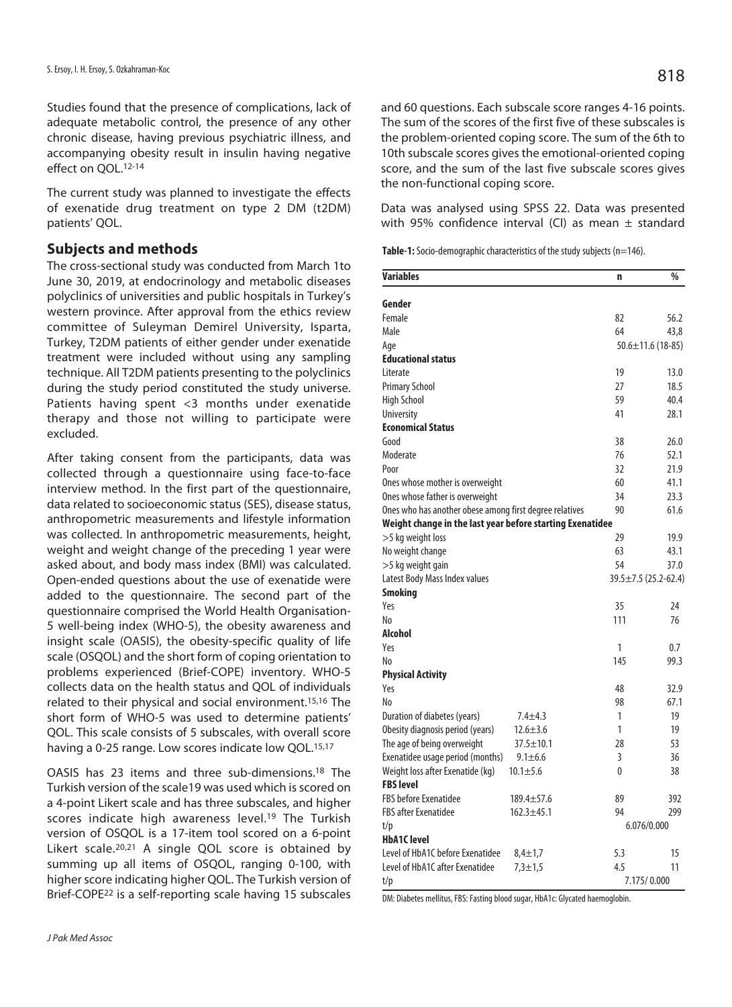Studies found that the presence of complications, lack of adequate metabolic control, the presence of any other chronic disease, having previous psychiatric illness, and accompanying obesity result in insulin having negative effect on QOL.12-14

The current study was planned to investigate the effects of exenatide drug treatment on type 2 DM (t2DM) patients' QOL.

## **Subjects and methods**

The cross-sectional study was conducted from March 1to June 30, 2019, at endocrinology and metabolic diseases polyclinics of universities and public hospitals in Turkey's western province. After approval from the ethics review committee of Suleyman Demirel University, Isparta, Turkey, T2DM patients of either gender under exenatide treatment were included without using any sampling technique. All T2DM patients presenting to the polyclinics during the study period constituted the study universe. Patients having spent <3 months under exenatide therapy and those not willing to participate were excluded.

After taking consent from the participants, data was collected through a questionnaire using face-to-face interview method. In the first part of the questionnaire, data related to socioeconomic status (SES), disease status, anthropometric measurements and lifestyle information was collected. In anthropometric measurements, height, weight and weight change of the preceding 1 year were asked about, and body mass index (BMI) was calculated. Open-ended questions about the use of exenatide were added to the questionnaire. The second part of the questionnaire comprised the World Health Organisation-5 well-being index (WHO-5), the obesity awareness and insight scale (OASIS), the obesity-specific quality of life scale (OSQOL) and the short form of coping orientation to problems experienced (Brief-COPE) inventory. WHO-5 collects data on the health status and QOL of individuals related to their physical and social environment.15,16 The short form of WHO-5 was used to determine patients' QOL. This scale consists of 5 subscales, with overall score having a 0-25 range. Low scores indicate low QOL.<sup>15,17</sup>

OASIS has 23 items and three sub-dimensions.18 The Turkish version of the scale19 was used which is scored on a 4-point Likert scale and has three subscales, and higher scores indicate high awareness level.<sup>19</sup> The Turkish version of OSQOL is a 17-item tool scored on a 6-point Likert scale.20,21 A single QOL score is obtained by summing up all items of OSQOL, ranging 0-100, with higher score indicating higher QOL. The Turkish version of Brief-COPE22 is a self-reporting scale having 15 subscales

and 60 questions. Each subscale score ranges 4-16 points. The sum of the scores of the first five of these subscales is the problem-oriented coping score. The sum of the 6th to 10th subscale scores gives the emotional-oriented coping score, and the sum of the last five subscale scores gives the non-functional coping score.

Data was analysed using SPSS 22. Data was presented with 95% confidence interval (CI) as mean  $\pm$  standard

Table-1: Socio-demographic characteristics of the study subjects (n=146).

| <b>Variables</b>                                          | n   | %                          |  |
|-----------------------------------------------------------|-----|----------------------------|--|
| Gender                                                    |     |                            |  |
| Female                                                    | 82  | 56.2                       |  |
| Male                                                      | 64  | 43,8                       |  |
| Age                                                       |     | $50.6 \pm 11.6$ (18-85)    |  |
| <b>Educational status</b>                                 |     |                            |  |
| Literate                                                  | 19  | 13.0                       |  |
| <b>Primary School</b>                                     | 27  | 18.5                       |  |
| <b>High School</b>                                        | 59  | 40.4                       |  |
| <b>University</b>                                         | 41  | 28.1                       |  |
| <b>Economical Status</b>                                  |     |                            |  |
| Good                                                      | 38  | 26.0                       |  |
| Moderate                                                  | 76  | 52.1                       |  |
| Poor                                                      | 32  | 21.9                       |  |
| Ones whose mother is overweight                           | 60  | 41.1                       |  |
| Ones whose father is overweight                           | 34  | 23.3                       |  |
| Ones who has another obese among first degree relatives   | 90  | 61.6                       |  |
| Weight change in the last year before starting Exenatidee |     |                            |  |
| >5 kg weight loss                                         | 29  | 19.9                       |  |
| No weight change                                          | 63  | 43.1                       |  |
| >5 kg weight gain                                         | 54  | 37.0                       |  |
| Latest Body Mass Index values                             |     | $39.5 \pm 7.5$ (25.2-62.4) |  |
| <b>Smoking</b>                                            |     |                            |  |
| Yes                                                       | 35  | 24                         |  |
| No                                                        | 111 | 76                         |  |
| <b>Alcohol</b>                                            |     |                            |  |
| Yes                                                       | 1   | 0.7                        |  |
| No                                                        | 145 | 99.3                       |  |
| <b>Physical Activity</b>                                  |     |                            |  |
| Yes                                                       | 48  | 32.9                       |  |
| No                                                        | 98  | 67.1                       |  |
| Duration of diabetes (years)<br>$7.4 + 4.3$               | 1   | 19                         |  |
| Obesity diagnosis period (years)<br>$12.6 \pm 3.6$        | 1   | 19                         |  |
| The age of being overweight<br>$37.5 \pm 10.1$            | 28  | 53                         |  |
| Exenatidee usage period (months)<br>$9.1 \pm 6.6$         | 3   | 36                         |  |
| Weight loss after Exenatide (kg)<br>$10.1 \pm 5.6$        | 0   | 38                         |  |
| <b>FBS level</b>                                          |     |                            |  |
| <b>FBS before Exenatidee</b><br>$189.4 \pm 57.6$          | 89  | 392                        |  |
| <b>FBS after Exenatidee</b><br>$162.3 + 45.1$             | 94  | 299                        |  |
| t/p                                                       |     | 6.076/0.000                |  |
| <b>HbA1C</b> level                                        |     |                            |  |
| Level of HbA1C before Exenatidee<br>$8,4 \pm 1,7$         | 5.3 | 15                         |  |
| Level of HbA1C after Exenatidee<br>$7,3 + 1,5$            | 4.5 | 11                         |  |
| t/p                                                       |     | 7.175/0.000                |  |

DM: Diabetes mellitus, FBS: Fasting blood sugar, HbA1c: Glycated haemoglobin.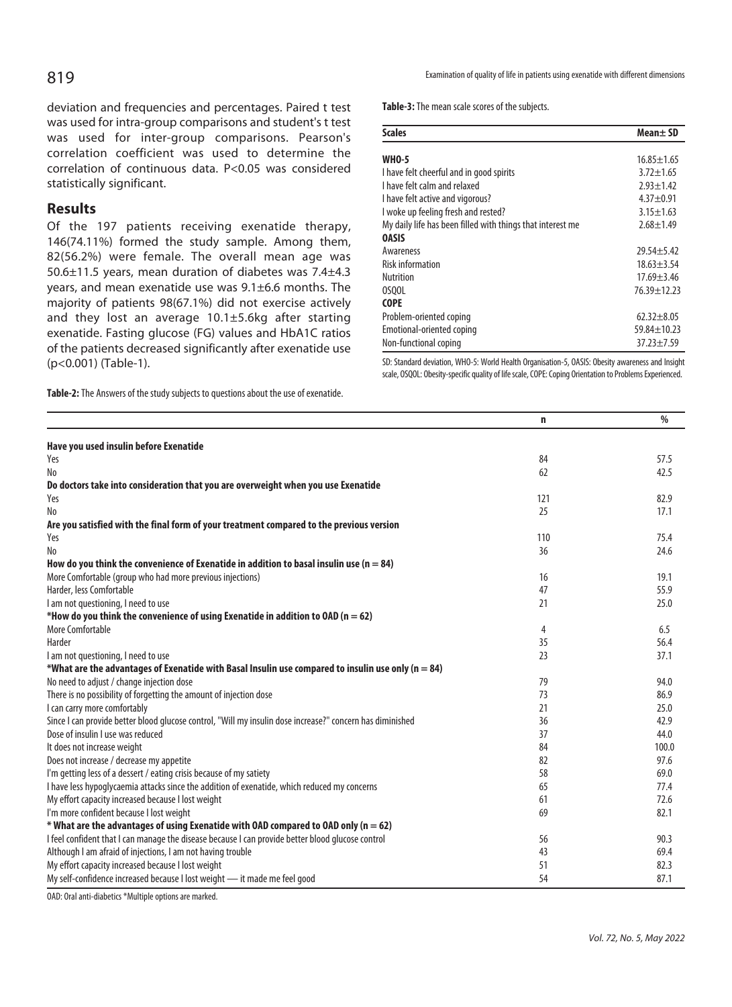deviation and frequencies and percentages. Paired t test was used for intra-group comparisons and student's t test was used for inter-group comparisons. Pearson's correlation coefficient was used to determine the correlation of continuous data. P<0.05 was considered statistically significant.

## **Results**

Of the 197 patients receiving exenatide therapy, 146(74.11%) formed the study sample. Among them, 82(56.2%) were female. The overall mean age was 50.6±11.5 years, mean duration of diabetes was 7.4±4.3 years, and mean exenatide use was 9.1±6.6 months. The majority of patients 98(67.1%) did not exercise actively and they lost an average 10.1±5.6kg after starting exenatide. Fasting glucose (FG) values and HbA1C ratios of the patients decreased significantly after exenatide use (p<0.001) (Table-1).

**Table-2:** The Answers of the study subjects to questions about the use of exenatide.

**Table-3:** The mean scale scores of the subjects.

| <b>Scales</b>                                              | Mean± SD          |
|------------------------------------------------------------|-------------------|
|                                                            |                   |
| <b>WHO-5</b>                                               | $16.85 \pm 1.65$  |
| I have felt cheerful and in good spirits                   | $3.72 + 1.65$     |
| I have felt calm and relaxed                               | $2.93 + 1.42$     |
| I have felt active and vigorous?                           | $4.37 + 0.91$     |
| I woke up feeling fresh and rested?                        | $3.15 \pm 1.63$   |
| My daily life has been filled with things that interest me | $2.68 + 1.49$     |
| <b>OASIS</b>                                               |                   |
| Awareness                                                  | $29.54 + 5.42$    |
| <b>Risk information</b>                                    | $18.63 + 3.54$    |
| <b>Nutrition</b>                                           | $17.69 \pm 3.46$  |
| 0SOOL                                                      | 76.39±12.23       |
| <b>COPE</b>                                                |                   |
| Problem-oriented coping                                    | $62.32 + 8.05$    |
| Emotional-oriented coping                                  | $59.84 \pm 10.23$ |
| Non-functional coping                                      | $37.23 + 7.59$    |

SD: Standard deviation, WHO-5: World Health Organisation-5, OASIS: Obesity awareness and Insight scale, OSQOL: Obesity-specific quality of life scale, COPE: Coping Orientation to Problems Experienced.

|                                                                                                           | n   | $\frac{0}{0}$ |
|-----------------------------------------------------------------------------------------------------------|-----|---------------|
| Have you used insulin before Exenatide                                                                    |     |               |
| Yes                                                                                                       | 84  | 57.5          |
| No                                                                                                        | 62  | 42.5          |
| Do doctors take into consideration that you are overweight when you use Exenatide                         |     |               |
| Yes                                                                                                       | 121 | 82.9          |
| N <sub>o</sub>                                                                                            | 25  | 17.1          |
| Are you satisfied with the final form of your treatment compared to the previous version                  |     |               |
| Yes                                                                                                       | 110 | 75.4          |
| N <sub>o</sub>                                                                                            | 36  | 24.6          |
| How do you think the convenience of Exenatide in addition to basal insulin use ( $n = 84$ )               |     |               |
| More Comfortable (group who had more previous injections)                                                 | 16  | 19.1          |
| Harder, less Comfortable                                                                                  | 47  | 55.9          |
| I am not questioning, I need to use                                                                       | 21  | 25.0          |
| *How do you think the convenience of using Exenatide in addition to OAD ( $n = 62$ )                      |     |               |
| More Comfortable                                                                                          | 4   | 6.5           |
| Harder                                                                                                    | 35  | 56.4          |
| I am not questioning, I need to use                                                                       | 23  | 37.1          |
| *What are the advantages of Exenatide with Basal Insulin use compared to insulin use only (n = 84)        |     |               |
| No need to adjust / change injection dose                                                                 | 79  | 94.0          |
| There is no possibility of forgetting the amount of injection dose                                        | 73  | 86.9          |
| I can carry more comfortably                                                                              | 21  | 25.0          |
| Since I can provide better blood glucose control, "Will my insulin dose increase?" concern has diminished | 36  | 42.9          |
| Dose of insulin I use was reduced                                                                         | 37  | 44.0          |
| It does not increase weight                                                                               | 84  | 100.0         |
| Does not increase / decrease my appetite                                                                  | 82  | 97.6          |
| I'm getting less of a dessert / eating crisis because of my satiety                                       | 58  | 69.0          |
| I have less hypoglycaemia attacks since the addition of exenatide, which reduced my concerns              | 65  | 77.4          |
| My effort capacity increased because I lost weight                                                        | 61  | 72.6          |
| I'm more confident because I lost weight                                                                  | 69  | 82.1          |
| * What are the advantages of using Exenatide with OAD compared to OAD only ( $n = 62$ )                   |     |               |
| I feel confident that I can manage the disease because I can provide better blood glucose control         | 56  | 90.3          |
| Although I am afraid of injections, I am not having trouble                                               | 43  | 69.4          |
| My effort capacity increased because I lost weight                                                        | 51  | 82.3          |
| My self-confidence increased because I lost weight - it made me feel good                                 | 54  | 87.1          |

OAD: Oral anti-diabetics \*Multiple options are marked.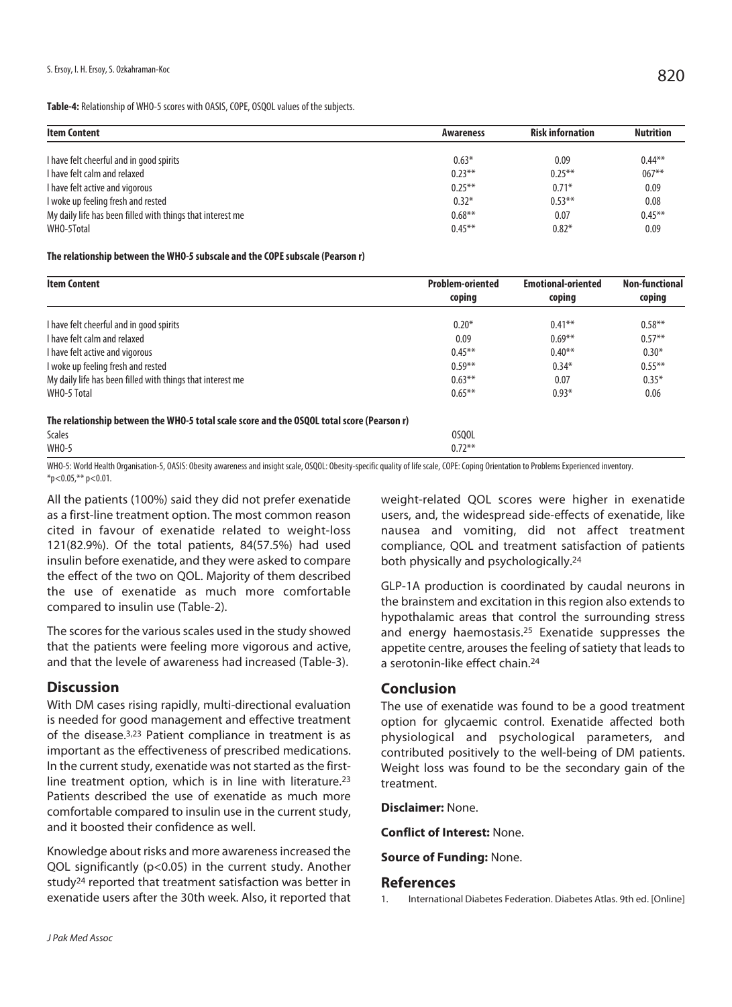**Table-4:** Relationship of WHO-5 scores with OASIS, COPE, OSQOL values of the subjects.

| <b>Item Content</b>                                        | Awareness | <b>Risk infornation</b> | <b>Nutrition</b> |
|------------------------------------------------------------|-----------|-------------------------|------------------|
| I have felt cheerful and in good spirits                   | $0.63*$   | 0.09                    | $0.44***$        |
| I have felt calm and relaxed                               | $0.23***$ | $0.25***$               | $067***$         |
| I have felt active and vigorous                            | $0.25***$ | $0.71*$                 | 0.09             |
| I woke up feeling fresh and rested                         | $0.32*$   | $0.53***$               | 0.08             |
| My daily life has been filled with things that interest me | $0.68***$ | 0.07                    | $0.45***$        |
| WHO-5Total                                                 | $0.45***$ | $0.82*$                 | 0.09             |

### **The relationship between the WHO-5 subscale and the COPE subscale (Pearson r)**

| <b>Item Content</b>                                                                        | <b>Problem-oriented</b> | <b>Emotional-oriented</b><br>coping | <b>Non-functional</b><br>coping |
|--------------------------------------------------------------------------------------------|-------------------------|-------------------------------------|---------------------------------|
|                                                                                            | coping                  |                                     |                                 |
| I have felt cheerful and in good spirits                                                   | $0.20*$                 | $0.41***$                           | $0.58***$                       |
| I have felt calm and relaxed                                                               | 0.09                    | $0.69***$                           | $0.57**$                        |
| I have felt active and vigorous                                                            | $0.45***$               | $0.40**$                            | $0.30*$                         |
| I woke up feeling fresh and rested                                                         | $0.59**$                | $0.34*$                             | $0.55***$                       |
| My daily life has been filled with things that interest me                                 | $0.63***$               | 0.07                                | $0.35*$                         |
| WHO-5 Total                                                                                | $0.65***$               | $0.93*$                             | 0.06                            |
| The relationship between the WHO-5 total scale score and the OSQOL total score (Pearson r) |                         |                                     |                                 |
| <b>Scales</b>                                                                              | 0S00L                   |                                     |                                 |
| <b>WHO-5</b>                                                                               | $0.72***$               |                                     |                                 |

WHO-5: World Health Organisation-5, OASIS: Obesity awareness and insight scale, OSQOL: Obesity-specific quality of life scale, COPE: Coping Orientation to Problems Experienced inventory.  $*$ p<0.05, $*$  $*$  p<0.01.

All the patients (100%) said they did not prefer exenatide as a first-line treatment option. The most common reason cited in favour of exenatide related to weight-loss 121(82.9%). Of the total patients, 84(57.5%) had used insulin before exenatide, and they were asked to compare the effect of the two on QOL. Majority of them described the use of exenatide as much more comfortable compared to insulin use (Table-2).

The scores for the various scales used in the study showed that the patients were feeling more vigorous and active, and that the levele of awareness had increased (Table-3).

## **Discussion**

With DM cases rising rapidly, multi-directional evaluation is needed for good management and effective treatment of the disease.3,23 Patient compliance in treatment is as important as the effectiveness of prescribed medications. In the current study, exenatide was not started as the firstline treatment option, which is in line with literature.23 Patients described the use of exenatide as much more comfortable compared to insulin use in the current study, and it boosted their confidence as well.

Knowledge about risks and more awareness increased the QOL significantly (p<0.05) in the current study. Another study<sup>24</sup> reported that treatment satisfaction was better in exenatide users after the 30th week. Also, it reported that weight-related QOL scores were higher in exenatide users, and, the widespread side-effects of exenatide, like nausea and vomiting, did not affect treatment compliance, QOL and treatment satisfaction of patients both physically and psychologically.24

GLP-1A production is coordinated by caudal neurons in the brainstem and excitation in this region also extends to hypothalamic areas that control the surrounding stress and energy haemostasis.25 Exenatide suppresses the appetite centre, arouses the feeling of satiety that leads to a serotonin-like effect chain.24

## **Conclusion**

The use of exenatide was found to be a good treatment option for glycaemic control. Exenatide affected both physiological and psychological parameters, and contributed positively to the well-being of DM patients. Weight loss was found to be the secondary gain of the treatment.

**Disclaimer:** None.

**Conflict of Interest:** None.

**Source of Funding:** None.

### **References**

1. International Diabetes Federation. Diabetes Atlas. 9th ed. [Online]